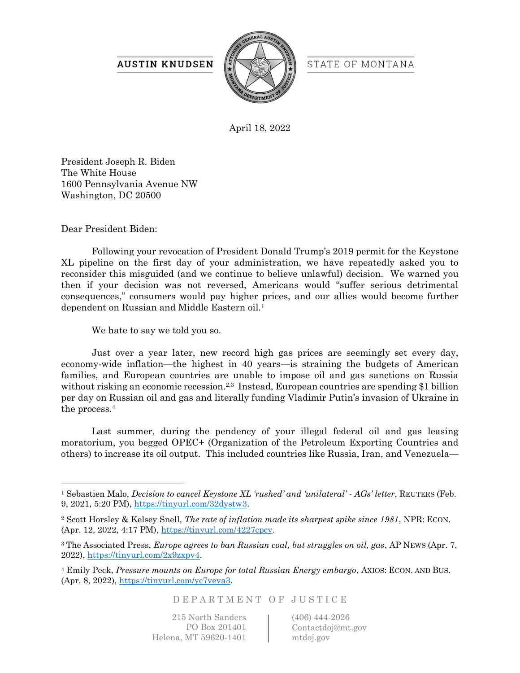## **AUSTIN KNUDSEN**



STATE OF MONTANA

April 18, 2022

President Joseph R. Biden The White House 1600 Pennsylvania Avenue NW Washington, DC 20500

Dear President Biden:

Following your revocation of President Donald Trump's 2019 permit for the Keystone XL pipeline on the first day of your administration, we have repeatedly asked you to reconsider this misguided (and we continue to believe unlawful) decision. We warned you then if your decision was not reversed, Americans would "suffer serious detrimental consequences," consumers would pay higher prices, and our allies would become further dependent on Russian and Middle Eastern oil.<sup>1</sup>

We hate to say we told you so.

Just over a year later, new record high gas prices are seemingly set every day, economy-wide inflation—the highest in 40 years—is straining the budgets of American families, and European countries are unable to impose oil and gas sanctions on Russia without risking an economic recession.<sup>2,3</sup> Instead, European countries are spending \$1 billion per day on Russian oil and gas and literally funding Vladimir Putin's invasion of Ukraine in the process.<sup>4</sup>

Last summer, during the pendency of your illegal federal oil and gas leasing moratorium, you begged OPEC+ (Organization of the Petroleum Exporting Countries and others) to increase its oil output. This included countries like Russia, Iran, and Venezuela—

D E P A R T M E N T O F J U S T I C E

215 North Sanders PO Box 201401 Helena, MT 59620-1401 (406) 444-2026 Contactdoj@mt.gov mtdoj.gov

<sup>1</sup> Sebastien Malo, *Decision to cancel Keystone XL 'rushed' and 'unilateral' - AGs' letter*, REUTERS (Feb. 9, 2021, 5:20 PM), [https://tinyurl.com/32dystw3.](https://tinyurl.com/32dystw3)

<sup>2</sup> Scott Horsley & Kelsey Snell, *The rate of inflation made its sharpest spike since 1981*, NPR: ECON. (Apr. 12, 2022, 4:17 PM), [https://tinyurl.com/4227cpcy.](https://tinyurl.com/4227cpcy)

<sup>3</sup> The Associated Press, *Europe agrees to ban Russian coal, but struggles on oil, gas*, AP NEWS (Apr. 7, 2022), [https://tinyurl.com/2x9zxpv4.](https://tinyurl.com/2x9zxpv4)

<sup>4</sup> Emily Peck, *Pressure mounts on Europe for total Russian Energy embargo*, AXIOS: ECON. AND BUS. (Apr. 8, 2022), [https://tinyurl.com/yc7veva3.](https://tinyurl.com/yc7veva3)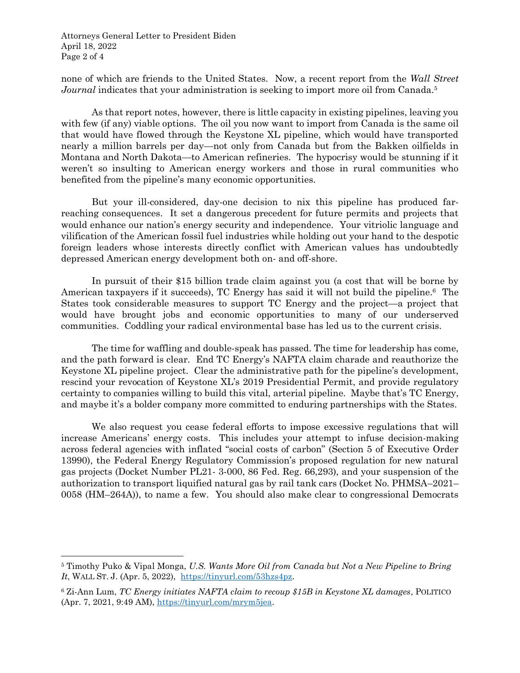Attorneys General Letter to President Biden April 18, 2022 Page 2 of 4

none of which are friends to the United States. Now, a recent report from the *Wall Street Journal* indicates that your administration is seeking to import more oil from Canada.<sup>5</sup>

As that report notes, however, there is little capacity in existing pipelines, leaving you with few (if any) viable options. The oil you now want to import from Canada is the same oil that would have flowed through the Keystone XL pipeline, which would have transported nearly a million barrels per day—not only from Canada but from the Bakken oilfields in Montana and North Dakota—to American refineries. The hypocrisy would be stunning if it weren't so insulting to American energy workers and those in rural communities who benefited from the pipeline's many economic opportunities.

But your ill-considered, day-one decision to nix this pipeline has produced farreaching consequences. It set a dangerous precedent for future permits and projects that would enhance our nation's energy security and independence. Your vitriolic language and vilification of the American fossil fuel industries while holding out your hand to the despotic foreign leaders whose interests directly conflict with American values has undoubtedly depressed American energy development both on- and off-shore.

In pursuit of their \$15 billion trade claim against you (a cost that will be borne by American taxpayers if it succeeds), TC Energy has said it will not build the pipeline.<sup>6</sup> The States took considerable measures to support TC Energy and the project—a project that would have brought jobs and economic opportunities to many of our underserved communities. Coddling your radical environmental base has led us to the current crisis.

The time for waffling and double-speak has passed. The time for leadership has come, and the path forward is clear. End TC Energy's NAFTA claim charade and reauthorize the Keystone XL pipeline project. Clear the administrative path for the pipeline's development, rescind your revocation of Keystone XL's 2019 Presidential Permit, and provide regulatory certainty to companies willing to build this vital, arterial pipeline. Maybe that's TC Energy, and maybe it's a bolder company more committed to enduring partnerships with the States.

We also request you cease federal efforts to impose excessive regulations that will increase Americans' energy costs. This includes your attempt to infuse decision-making across federal agencies with inflated "social costs of carbon" (Section 5 of Executive Order 13990), the Federal Energy Regulatory Commission's proposed regulation for new natural gas projects (Docket Number PL21- 3-000, 86 Fed. Reg. 66,293), and your suspension of the authorization to transport liquified natural gas by rail tank cars (Docket No. PHMSA–2021– 0058 (HM–264A)), to name a few. You should also make clear to congressional Democrats

<sup>5</sup> Timothy Puko & Vipal Monga, *U.S. Wants More Oil from Canada but Not a New Pipeline to Bring It*, WALL ST. J. (Apr. 5, 2022), [https://tinyurl.com/53hzs4pz.](https://tinyurl.com/53hzs4pz)

<sup>6</sup> Zi-Ann Lum, *TC Energy initiates NAFTA claim to recoup \$15B in Keystone XL damages*, POLITICO (Apr. 7, 2021, 9:49 AM), [https://tinyurl.com/mrym5jea.](https://tinyurl.com/mrym5jea)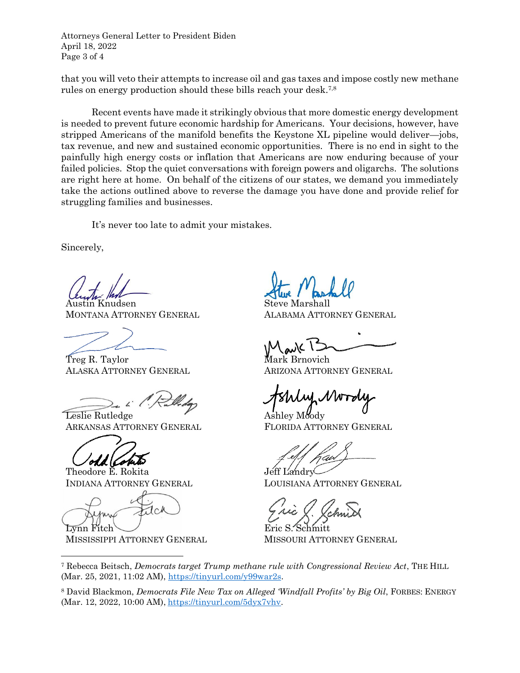Attorneys General Letter to President Biden April 18, 2022 Page 3 of 4

that you will veto their attempts to increase oil and gas taxes and impose costly new methane rules on energy production should these bills reach your desk.7,8

Recent events have made it strikingly obvious that more domestic energy development is needed to prevent future economic hardship for Americans. Your decisions, however, have stripped Americans of the manifold benefits the Keystone XL pipeline would deliver—jobs, tax revenue, and new and sustained economic opportunities. There is no end in sight to the painfully high energy costs or inflation that Americans are now enduring because of your failed policies. Stop the quiet conversations with foreign powers and oligarchs. The solutions are right here at home. On behalf of the citizens of our states, we demand you immediately take the actions outlined above to reverse the damage you have done and provide relief for struggling families and businesses.

It's never too late to admit your mistakes.

Sincerely,

n Knudsen MONTANA ATTORNEY GENERAL

Treg R. Taylor ALASKA ATTORNEY GENERAL

Leslie Rutledge ARKANSAS ATTORNEY GENERAL

Theodore E. Rokita INDIANA ATTORNEY GENERAL

Lynn Fitch

MISSISSIPPI ATTORNEY GENERAL

Steve Marshall

ALABAMA ATTORNEY GENERAL

Mark Brnovich ARIZONA ATTORNEY GENERAL

Ashley Moody FLORIDA ATTORNEY GENERAL

Jeff Landr

LOUISIANA ATTORNEY GENERAL

Eric S. Schmitt MISSOURI ATTORNEY GENERAL

<sup>7</sup> Rebecca Beitsch, *Democrats target Trump methane rule with Congressional Review Act*, THE HILL (Mar. 25, 2021, 11:02 AM), [https://tinyurl.com/y99war2s.](https://tinyurl.com/y99war2s)

<sup>8</sup> David Blackmon, *Democrats File New Tax on Alleged 'Windfall Profits' by Big Oil*, FORBES: ENERGY (Mar. 12, 2022, 10:00 AM), [https://tinyurl.com/5dyx7vhv.](https://tinyurl.com/5dyx7vhv)